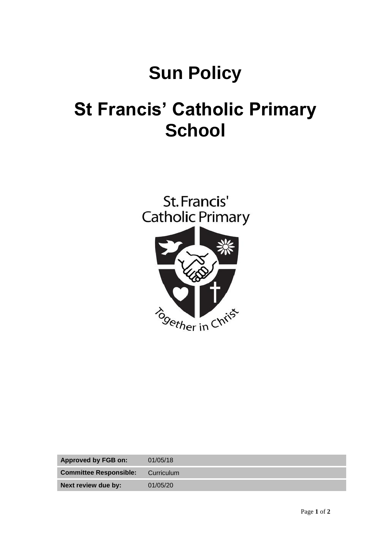# **Sun Policy**

# **St Francis' Catholic Primary School**



| <b>Approved by FGB on:</b>    | 01/05/18   |
|-------------------------------|------------|
| <b>Committee Responsible:</b> | Curriculum |
| Next review due by:           | 01/05/20   |